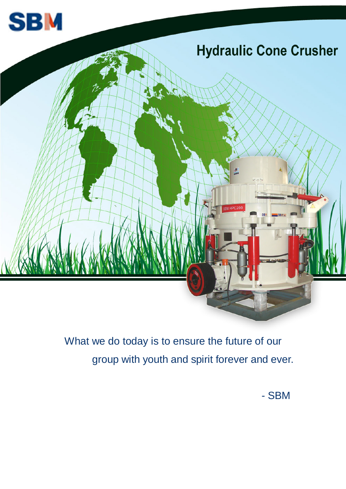



 What we do today is to ensure the future of our group with youth and spirit forever and ever.

- SBM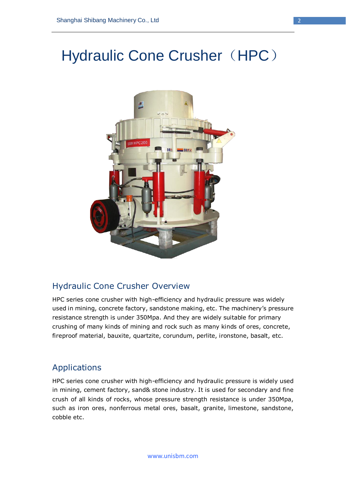# Hydraulic Cone Crusher ([HPC](http://www.sbmchina.com/products/Crushing/Cone_crusher.html))



#### Hydraulic Cone Crusher Overview

HPC series cone crusher with high-efficiency and hydraulic pressure was widely used in mining, concrete factory, sandstone making, etc. The machinery's pressure resistance strength is under 350Mpa. And they are widely suitable for primary crushing of many kinds of mining and rock such as many kinds of ores, concrete, fireproof material, bauxite, quartzite, corundum, perlite, ironstone, basalt, etc.

#### Applications

HPC series cone crusher with high-efficiency and hydraulic pressure is widely used in mining, cement factory, sand& stone industry. It is used for secondary and fine crush of all kinds of rocks, whose pressure strength resistance is under 350Mpa, such as iron ores, nonferrous metal ores, basalt, granite, limestone, sandstone, cobble etc.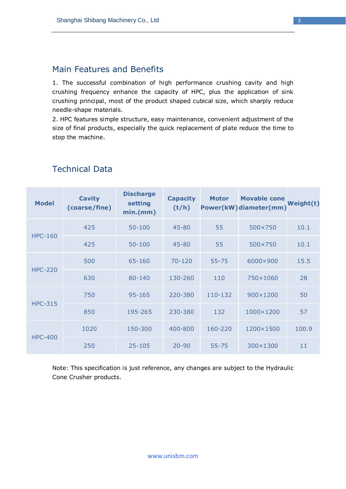#### Main Features and Benefits

1. The successful combination of high performance crushing cavity and high crushing frequency enhance the capacity of HPC, plus the application of sink crushing principal, most of the product shaped cubical size, which sharply reduce needle-shape materials.

2. HPC features simple structure, easy maintenance, convenient adjustment of the size of final products, especially the quick replacement of plate reduce the time to stop the machine.

| <b>Model</b>   | <b>Cavity</b><br>(coarse/fine) | <b>Discharge</b><br>setting<br>min(mm) | <b>Capacity</b><br>(t/h) | <b>Motor</b> | <b>Movable cone</b><br><b>Power(kW)diameter(mm)</b> | Weight(t) |
|----------------|--------------------------------|----------------------------------------|--------------------------|--------------|-----------------------------------------------------|-----------|
| <b>HPC-160</b> | 425                            | $50 - 100$                             | $45 - 80$                | 55           | 500×750                                             | 10.1      |
|                | 425                            | $50 - 100$                             | $45 - 80$                | 55           | 500×750                                             | 10.1      |
| <b>HPC-220</b> | 500                            | 65-160                                 | $70 - 120$               | $55 - 75$    | 6000×900                                            | 15.5      |
|                | 630                            | 80-140                                 | 130-260                  | 110          | 750×1060                                            | 28        |
| <b>HPC-315</b> | 750                            | 95-165                                 | 220-380                  | 110-132      | 900×1200                                            | 50        |
|                | 850                            | 195-265                                | 230-380                  | 132          | 1000×1200                                           | 57        |
| <b>HPC-400</b> | 1020                           | 150-300                                | 400-800                  | 160-220      | 1200×1500                                           | 100.9     |
|                | 250                            | $25 - 105$                             | $20 - 90$                | $55 - 75$    | 300×1300                                            | 11        |

#### Technical Data

Note: This specification is just reference, any changes are subject to the Hydraulic Cone Crusher products.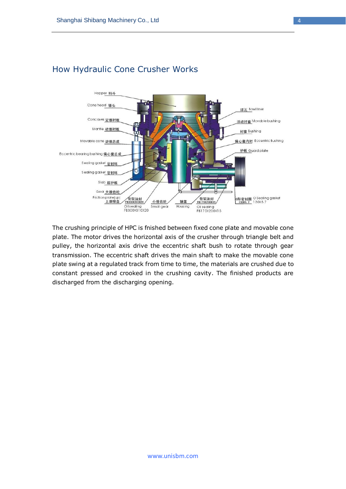

## How Hydraulic Cone Crusher Works

The crushing principle of HPC is fnished between fixed cone plate and movable cone plate. The motor drives the horizontal axis of the crusher through triangle belt and pulley, the horizontal axis drive the eccentric shaft bush to rotate through gear transmission. The eccentric shaft drives the main shaft to make the movable cone plate swing at a regulated track from time to time, the materials are crushed due to constant pressed and crooked in the crushing cavity. The finished products are discharged from the discharging opening.